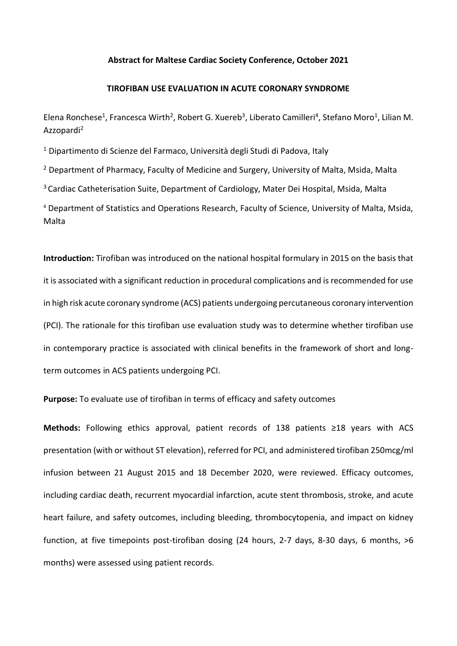## **Abstract for Maltese Cardiac Society Conference, October 2021**

## **TIROFIBAN USE EVALUATION IN ACUTE CORONARY SYNDROME**

Elena Ronchese<sup>1</sup>, Francesca Wirth<sup>2</sup>, Robert G. Xuereb<sup>3</sup>, Liberato Camilleri<sup>4</sup>, Stefano Moro<sup>1</sup>, Lilian M. Azzopardi<sup>2</sup>

<sup>1</sup> Dipartimento di Scienze del Farmaco, Università degli Studi di Padova, Italy

<sup>2</sup> Department of Pharmacy, Faculty of Medicine and Surgery, University of Malta, Msida, Malta

<sup>3</sup> Cardiac Catheterisation Suite, Department of Cardiology, Mater Dei Hospital, Msida, Malta

<sup>4</sup> Department of Statistics and Operations Research, Faculty of Science, University of Malta, Msida, Malta

**Introduction:** Tirofiban was introduced on the national hospital formulary in 2015 on the basis that it is associated with a significant reduction in procedural complications and is recommended for use in high risk acute coronary syndrome (ACS) patients undergoing percutaneous coronary intervention (PCI). The rationale for this tirofiban use evaluation study was to determine whether tirofiban use in contemporary practice is associated with clinical benefits in the framework of short and longterm outcomes in ACS patients undergoing PCI.

**Purpose:** To evaluate use of tirofiban in terms of efficacy and safety outcomes

**Methods:** Following ethics approval, patient records of 138 patients ≥18 years with ACS presentation (with or without ST elevation), referred for PCI, and administered tirofiban 250mcg/ml infusion between 21 August 2015 and 18 December 2020, were reviewed. Efficacy outcomes, including cardiac death, recurrent myocardial infarction, acute stent thrombosis, stroke, and acute heart failure, and safety outcomes, including bleeding, thrombocytopenia, and impact on kidney function, at five timepoints post-tirofiban dosing (24 hours, 2-7 days, 8-30 days, 6 months, >6 months) were assessed using patient records.